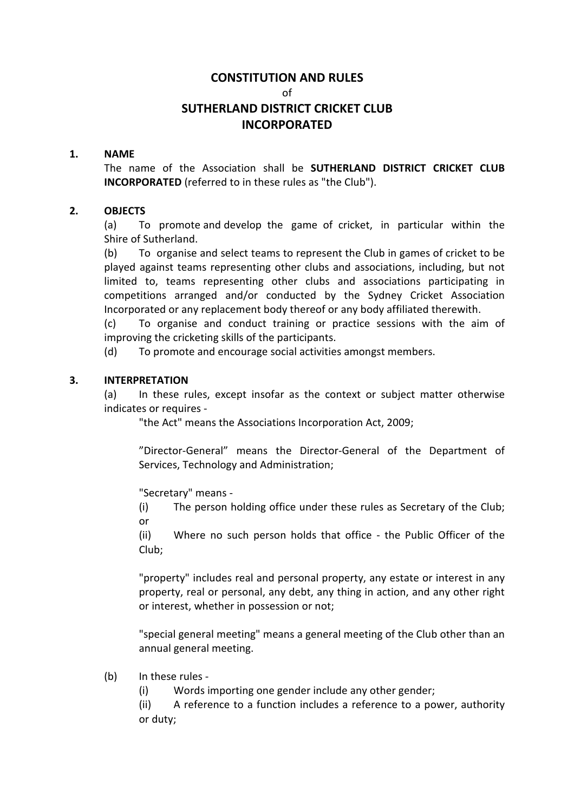# CONSTITUTION AND RULES

of

# SUTHERLAND DISTRICT CRICKET CLUB INCORPORATED

#### 1. NAME

The name of the Association shall be SUTHERLAND DISTRICT CRICKET CLUB INCORPORATED (referred to in these rules as "the Club").

#### 2. OBJECTS

(a) To promote and develop the game of cricket, in particular within the Shire of Sutherland.

(b) To organise and select teams to represent the Club in games of cricket to be played against teams representing other clubs and associations, including, but not limited to, teams representing other clubs and associations participating in competitions arranged and/or conducted by the Sydney Cricket Association Incorporated or any replacement body thereof or any body affiliated therewith.

(c) To organise and conduct training or practice sessions with the aim of improving the cricketing skills of the participants.

(d) To promote and encourage social activities amongst members.

#### 3. INTERPRETATION

(a) In these rules, except insofar as the context or subject matter otherwise indicates or requires -

"the Act" means the Associations Incorporation Act, 2009;

"Director-General" means the Director-General of the Department of Services, Technology and Administration;

"Secretary" means -

(i) The person holding office under these rules as Secretary of the Club; or

(ii) Where no such person holds that office - the Public Officer of the Club;

"property" includes real and personal property, any estate or interest in any property, real or personal, any debt, any thing in action, and any other right or interest, whether in possession or not;

"special general meeting" means a general meeting of the Club other than an annual general meeting.

(b) In these rules -

(i) Words importing one gender include any other gender;

(ii) A reference to a function includes a reference to a power, authority or duty;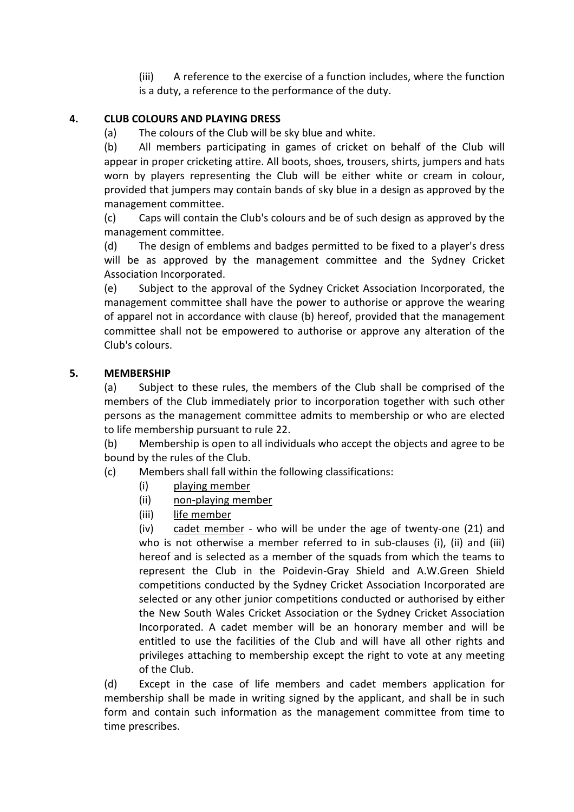(iii) A reference to the exercise of a function includes, where the function is a duty, a reference to the performance of the duty.

## 4. CLUB COLOURS AND PLAYING DRESS

(a) The colours of the Club will be sky blue and white.

(b) All members participating in games of cricket on behalf of the Club will appear in proper cricketing attire. All boots, shoes, trousers, shirts, jumpers and hats worn by players representing the Club will be either white or cream in colour, provided that jumpers may contain bands of sky blue in a design as approved by the management committee.

(c) Caps will contain the Club's colours and be of such design as approved by the management committee.

(d) The design of emblems and badges permitted to be fixed to a player's dress will be as approved by the management committee and the Sydney Cricket Association Incorporated.

(e) Subject to the approval of the Sydney Cricket Association Incorporated, the management committee shall have the power to authorise or approve the wearing of apparel not in accordance with clause (b) hereof, provided that the management committee shall not be empowered to authorise or approve any alteration of the Club's colours.

## 5. MEMBERSHIP

(a) Subject to these rules, the members of the Club shall be comprised of the members of the Club immediately prior to incorporation together with such other persons as the management committee admits to membership or who are elected to life membership pursuant to rule 22.

(b) Membership is open to all individuals who accept the objects and agree to be bound by the rules of the Club.

- (c) Members shall fall within the following classifications:
	- (i) playing member
	- (ii) non-playing member
	- (iii) life member

(iv) cadet member - who will be under the age of twenty-one (21) and who is not otherwise a member referred to in sub-clauses (i), (ii) and (iii) hereof and is selected as a member of the squads from which the teams to represent the Club in the Poidevin-Gray Shield and A.W.Green Shield competitions conducted by the Sydney Cricket Association Incorporated are selected or any other junior competitions conducted or authorised by either the New South Wales Cricket Association or the Sydney Cricket Association Incorporated. A cadet member will be an honorary member and will be entitled to use the facilities of the Club and will have all other rights and privileges attaching to membership except the right to vote at any meeting of the Club.

(d) Except in the case of life members and cadet members application for membership shall be made in writing signed by the applicant, and shall be in such form and contain such information as the management committee from time to time prescribes.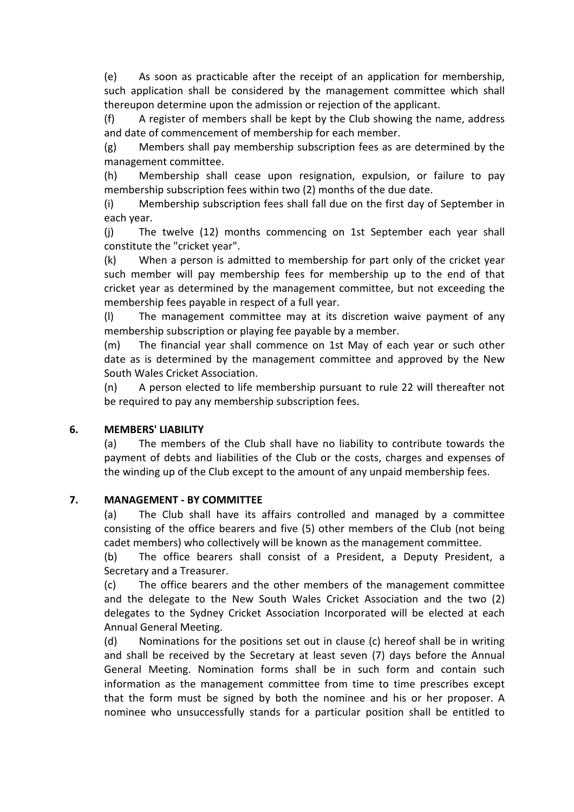(e) As soon as practicable after the receipt of an application for membership, such application shall be considered by the management committee which shall thereupon determine upon the admission or rejection of the applicant.

(f) A register of members shall be kept by the Club showing the name, address and date of commencement of membership for each member.

(g) Members shall pay membership subscription fees as are determined by the management committee.

(h) Membership shall cease upon resignation, expulsion, or failure to pay membership subscription fees within two (2) months of the due date.

(i) Membership subscription fees shall fall due on the first day of September in each year.

(j) The twelve (12) months commencing on 1st September each year shall constitute the "cricket year".

(k) When a person is admitted to membership for part only of the cricket year such member will pay membership fees for membership up to the end of that cricket year as determined by the management committee, but not exceeding the membership fees payable in respect of a full year.

(l) The management committee may at its discretion waive payment of any membership subscription or playing fee payable by a member.

(m) The financial year shall commence on 1st May of each year or such other date as is determined by the management committee and approved by the New South Wales Cricket Association.

(n) A person elected to life membership pursuant to rule 22 will thereafter not be required to pay any membership subscription fees.

#### 6. MEMBERS' LIABILITY

(a) The members of the Club shall have no liability to contribute towards the payment of debts and liabilities of the Club or the costs, charges and expenses of the winding up of the Club except to the amount of any unpaid membership fees.

#### 7. MANAGEMENT - BY COMMITTEE

(a) The Club shall have its affairs controlled and managed by a committee consisting of the office bearers and five (5) other members of the Club (not being cadet members) who collectively will be known as the management committee.

(b) The office bearers shall consist of a President, a Deputy President, a Secretary and a Treasurer.

(c) The office bearers and the other members of the management committee and the delegate to the New South Wales Cricket Association and the two (2) delegates to the Sydney Cricket Association Incorporated will be elected at each Annual General Meeting.

(d) Nominations for the positions set out in clause (c) hereof shall be in writing and shall be received by the Secretary at least seven (7) days before the Annual General Meeting. Nomination forms shall be in such form and contain such information as the management committee from time to time prescribes except that the form must be signed by both the nominee and his or her proposer. A nominee who unsuccessfully stands for a particular position shall be entitled to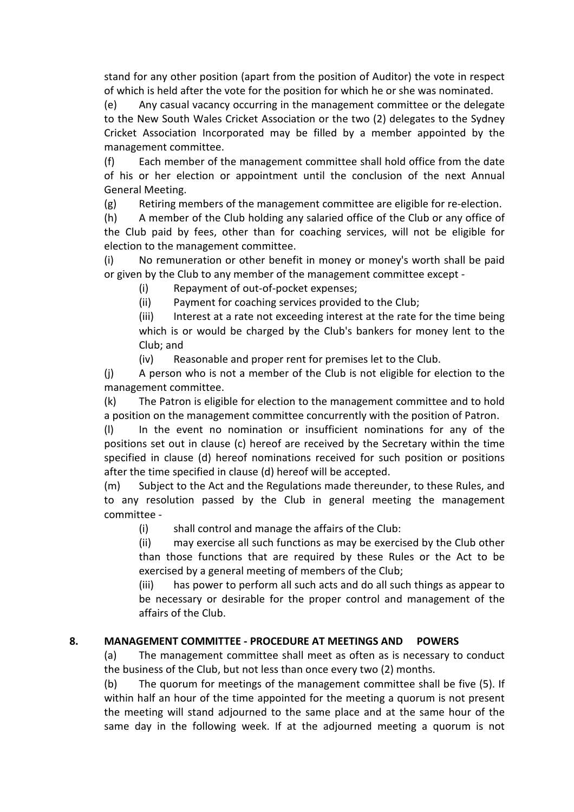stand for any other position (apart from the position of Auditor) the vote in respect of which is held after the vote for the position for which he or she was nominated.

(e) Any casual vacancy occurring in the management committee or the delegate to the New South Wales Cricket Association or the two (2) delegates to the Sydney Cricket Association Incorporated may be filled by a member appointed by the management committee.

(f) Each member of the management committee shall hold office from the date of his or her election or appointment until the conclusion of the next Annual General Meeting.

(g) Retiring members of the management committee are eligible for re-election.

(h) A member of the Club holding any salaried office of the Club or any office of the Club paid by fees, other than for coaching services, will not be eligible for election to the management committee.

(i) No remuneration or other benefit in money or money's worth shall be paid or given by the Club to any member of the management committee except -

(i) Repayment of out-of-pocket expenses;

(ii) Payment for coaching services provided to the Club;

(iii) Interest at a rate not exceeding interest at the rate for the time being which is or would be charged by the Club's bankers for money lent to the Club; and

(iv) Reasonable and proper rent for premises let to the Club.

(j) A person who is not a member of the Club is not eligible for election to the management committee.

(k) The Patron is eligible for election to the management committee and to hold a position on the management committee concurrently with the position of Patron.

(l) In the event no nomination or insufficient nominations for any of the positions set out in clause (c) hereof are received by the Secretary within the time specified in clause (d) hereof nominations received for such position or positions after the time specified in clause (d) hereof will be accepted.

(m) Subject to the Act and the Regulations made thereunder, to these Rules, and to any resolution passed by the Club in general meeting the management committee -

(i) shall control and manage the affairs of the Club:

(ii) may exercise all such functions as may be exercised by the Club other than those functions that are required by these Rules or the Act to be exercised by a general meeting of members of the Club;

(iii) has power to perform all such acts and do all such things as appear to be necessary or desirable for the proper control and management of the affairs of the Club.

## 8. MANAGEMENT COMMITTEE - PROCEDURE AT MEETINGS AND POWERS

(a) The management committee shall meet as often as is necessary to conduct the business of the Club, but not less than once every two (2) months.

(b) The quorum for meetings of the management committee shall be five (5). If within half an hour of the time appointed for the meeting a quorum is not present the meeting will stand adjourned to the same place and at the same hour of the same day in the following week. If at the adjourned meeting a quorum is not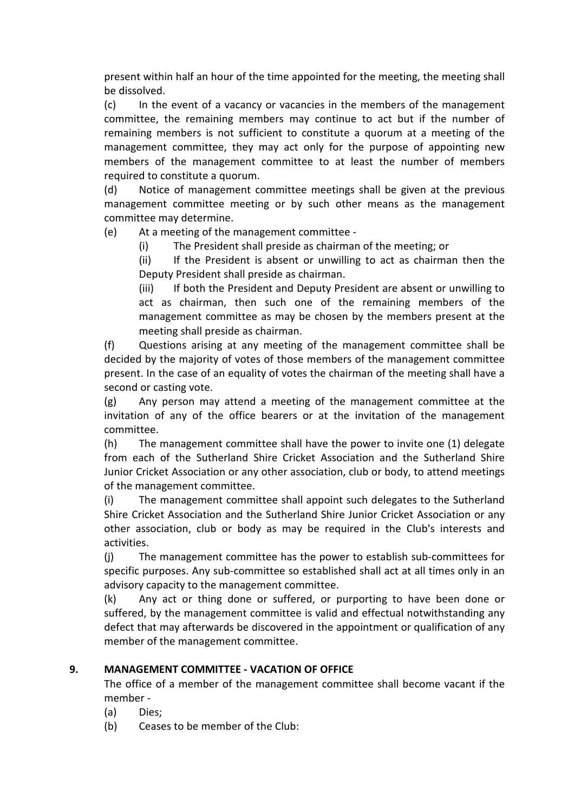present within half an hour of the time appointed for the meeting, the meeting shall be dissolved.

(c) In the event of a vacancy or vacancies in the members of the management committee, the remaining members may continue to act but if the number of remaining members is not sufficient to constitute a quorum at a meeting of the management committee, they may act only for the purpose of appointing new members of the management committee to at least the number of members required to constitute a quorum.

(d) Notice of management committee meetings shall be given at the previous management committee meeting or by such other means as the management committee may determine.

(e) At a meeting of the management committee -

(i) The President shall preside as chairman of the meeting; or

(ii) If the President is absent or unwilling to act as chairman then the Deputy President shall preside as chairman.

(iii) If both the President and Deputy President are absent or unwilling to act as chairman, then such one of the remaining members of the management committee as may be chosen by the members present at the meeting shall preside as chairman.

(f) Questions arising at any meeting of the management committee shall be decided by the majority of votes of those members of the management committee present. In the case of an equality of votes the chairman of the meeting shall have a second or casting vote.

(g) Any person may attend a meeting of the management committee at the invitation of any of the office bearers or at the invitation of the management committee.

(h) The management committee shall have the power to invite one (1) delegate from each of the Sutherland Shire Cricket Association and the Sutherland Shire Junior Cricket Association or any other association, club or body, to attend meetings of the management committee.

(i) The management committee shall appoint such delegates to the Sutherland Shire Cricket Association and the Sutherland Shire Junior Cricket Association or any other association, club or body as may be required in the Club's interests and activities.

(j) The management committee has the power to establish sub-committees for specific purposes. Any sub-committee so established shall act at all times only in an advisory capacity to the management committee.

(k) Any act or thing done or suffered, or purporting to have been done or suffered, by the management committee is valid and effectual notwithstanding any defect that may afterwards be discovered in the appointment or qualification of any member of the management committee.

## 9. MANAGEMENT COMMITTEE - VACATION OF OFFICE

The office of a member of the management committee shall become vacant if the member -

- (a) Dies;
- (b) Ceases to be member of the Club: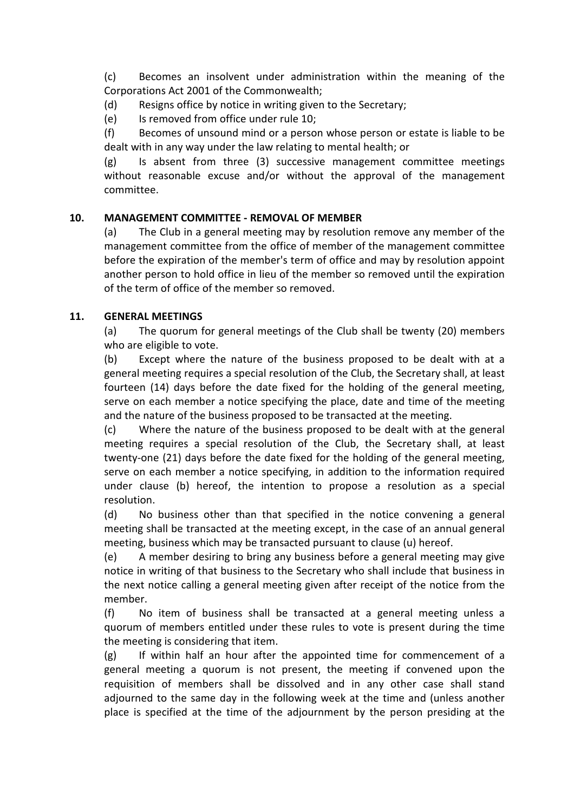(c) Becomes an insolvent under administration within the meaning of the Corporations Act 2001 of the Commonwealth;

(d) Resigns office by notice in writing given to the Secretary;

(e) Is removed from office under rule 10;

(f) Becomes of unsound mind or a person whose person or estate is liable to be dealt with in any way under the law relating to mental health; or

 $(g)$  Is absent from three (3) successive management committee meetings without reasonable excuse and/or without the approval of the management committee.

## 10. MANAGEMENT COMMITTEE - REMOVAL OF MEMBER

(a) The Club in a general meeting may by resolution remove any member of the management committee from the office of member of the management committee before the expiration of the member's term of office and may by resolution appoint another person to hold office in lieu of the member so removed until the expiration of the term of office of the member so removed.

## 11. GENERAL MEETINGS

(a) The quorum for general meetings of the Club shall be twenty (20) members who are eligible to vote.

(b) Except where the nature of the business proposed to be dealt with at a general meeting requires a special resolution of the Club, the Secretary shall, at least fourteen (14) days before the date fixed for the holding of the general meeting, serve on each member a notice specifying the place, date and time of the meeting and the nature of the business proposed to be transacted at the meeting.

(c) Where the nature of the business proposed to be dealt with at the general meeting requires a special resolution of the Club, the Secretary shall, at least twenty-one (21) days before the date fixed for the holding of the general meeting, serve on each member a notice specifying, in addition to the information required under clause (b) hereof, the intention to propose a resolution as a special resolution.

(d) No business other than that specified in the notice convening a general meeting shall be transacted at the meeting except, in the case of an annual general meeting, business which may be transacted pursuant to clause (u) hereof.

(e) A member desiring to bring any business before a general meeting may give notice in writing of that business to the Secretary who shall include that business in the next notice calling a general meeting given after receipt of the notice from the member.

(f) No item of business shall be transacted at a general meeting unless a quorum of members entitled under these rules to vote is present during the time the meeting is considering that item.

(g) If within half an hour after the appointed time for commencement of a general meeting a quorum is not present, the meeting if convened upon the requisition of members shall be dissolved and in any other case shall stand adjourned to the same day in the following week at the time and (unless another place is specified at the time of the adjournment by the person presiding at the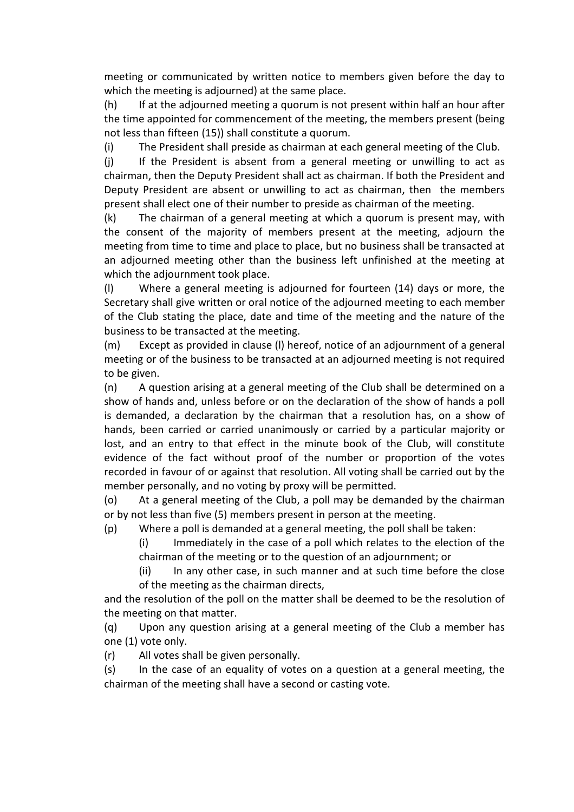meeting or communicated by written notice to members given before the day to which the meeting is adjourned) at the same place.

(h) If at the adjourned meeting a quorum is not present within half an hour after the time appointed for commencement of the meeting, the members present (being not less than fifteen (15)) shall constitute a quorum.

(i) The President shall preside as chairman at each general meeting of the Club.

(j) If the President is absent from a general meeting or unwilling to act as chairman, then the Deputy President shall act as chairman. If both the President and Deputy President are absent or unwilling to act as chairman, then the members present shall elect one of their number to preside as chairman of the meeting.

(k) The chairman of a general meeting at which a quorum is present may, with the consent of the majority of members present at the meeting, adjourn the meeting from time to time and place to place, but no business shall be transacted at an adjourned meeting other than the business left unfinished at the meeting at which the adjournment took place.

(l) Where a general meeting is adjourned for fourteen (14) days or more, the Secretary shall give written or oral notice of the adjourned meeting to each member of the Club stating the place, date and time of the meeting and the nature of the business to be transacted at the meeting.

(m) Except as provided in clause (l) hereof, notice of an adjournment of a general meeting or of the business to be transacted at an adjourned meeting is not required to be given.

(n) A question arising at a general meeting of the Club shall be determined on a show of hands and, unless before or on the declaration of the show of hands a poll is demanded, a declaration by the chairman that a resolution has, on a show of hands, been carried or carried unanimously or carried by a particular majority or lost, and an entry to that effect in the minute book of the Club, will constitute evidence of the fact without proof of the number or proportion of the votes recorded in favour of or against that resolution. All voting shall be carried out by the member personally, and no voting by proxy will be permitted.

(o) At a general meeting of the Club, a poll may be demanded by the chairman or by not less than five (5) members present in person at the meeting.

(p) Where a poll is demanded at a general meeting, the poll shall be taken:

(i) Immediately in the case of a poll which relates to the election of the chairman of the meeting or to the question of an adjournment; or

(ii) In any other case, in such manner and at such time before the close of the meeting as the chairman directs,

and the resolution of the poll on the matter shall be deemed to be the resolution of the meeting on that matter.

(q) Upon any question arising at a general meeting of the Club a member has one (1) vote only.

(r) All votes shall be given personally.

(s) In the case of an equality of votes on a question at a general meeting, the chairman of the meeting shall have a second or casting vote.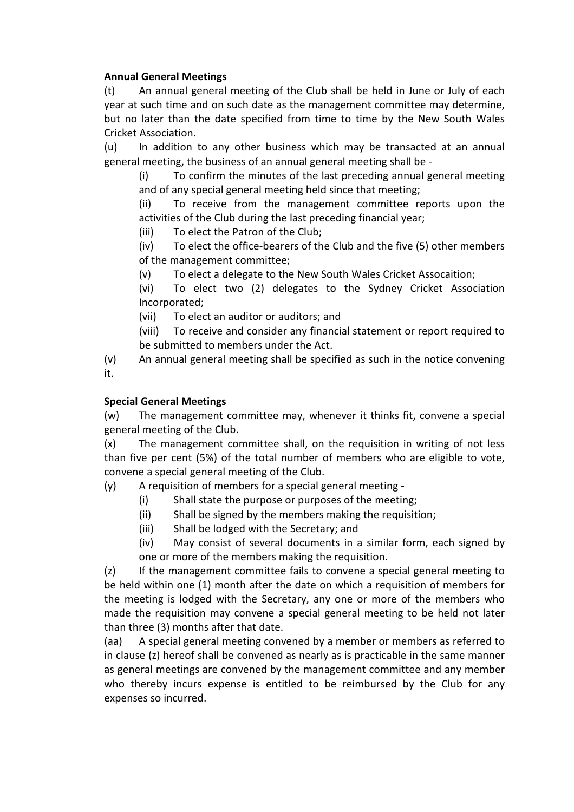#### Annual General Meetings

(t) An annual general meeting of the Club shall be held in June or July of each year at such time and on such date as the management committee may determine, but no later than the date specified from time to time by the New South Wales Cricket Association.

(u) In addition to any other business which may be transacted at an annual general meeting, the business of an annual general meeting shall be -

(i) To confirm the minutes of the last preceding annual general meeting and of any special general meeting held since that meeting;

(ii) To receive from the management committee reports upon the activities of the Club during the last preceding financial year;

(iii) To elect the Patron of the Club;

(iv) To elect the office-bearers of the Club and the five (5) other members of the management committee;

(v) To elect a delegate to the New South Wales Cricket Assocaition;

(vi) To elect two (2) delegates to the Sydney Cricket Association Incorporated;

(vii) To elect an auditor or auditors; and

(viii) To receive and consider any financial statement or report required to be submitted to members under the Act.

(v) An annual general meeting shall be specified as such in the notice convening it.

#### Special General Meetings

(w) The management committee may, whenever it thinks fit, convene a special general meeting of the Club.

(x) The management committee shall, on the requisition in writing of not less than five per cent (5%) of the total number of members who are eligible to vote, convene a special general meeting of the Club.

(y) A requisition of members for a special general meeting -

- (i) Shall state the purpose or purposes of the meeting;
- (ii) Shall be signed by the members making the requisition;
- (iii) Shall be lodged with the Secretary; and
- (iv) May consist of several documents in a similar form, each signed by one or more of the members making the requisition.

(z) If the management committee fails to convene a special general meeting to be held within one (1) month after the date on which a requisition of members for the meeting is lodged with the Secretary, any one or more of the members who made the requisition may convene a special general meeting to be held not later than three (3) months after that date.

(aa) A special general meeting convened by a member or members as referred to in clause (z) hereof shall be convened as nearly as is practicable in the same manner as general meetings are convened by the management committee and any member who thereby incurs expense is entitled to be reimbursed by the Club for any expenses so incurred.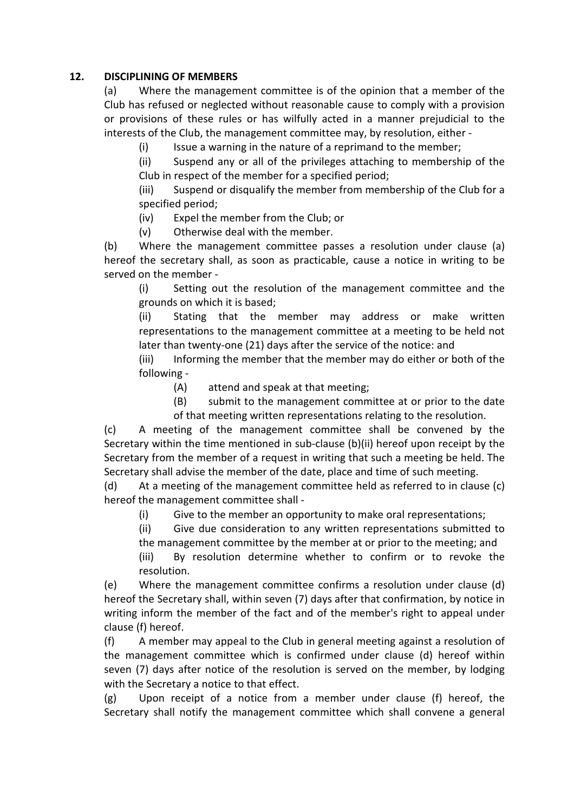#### 12. DISCIPLINING OF MEMBERS

(a) Where the management committee is of the opinion that a member of the Club has refused or neglected without reasonable cause to comply with a provision or provisions of these rules or has wilfully acted in a manner prejudicial to the interests of the Club, the management committee may, by resolution, either -

(i) Issue a warning in the nature of a reprimand to the member;

(ii) Suspend any or all of the privileges attaching to membership of the Club in respect of the member for a specified period;

(iii) Suspend or disqualify the member from membership of the Club for a specified period;

(iv) Expel the member from the Club; or

(v) Otherwise deal with the member.

(b) Where the management committee passes a resolution under clause (a) hereof the secretary shall, as soon as practicable, cause a notice in writing to be served on the member -

(i) Setting out the resolution of the management committee and the grounds on which it is based;

(ii) Stating that the member may address or make written representations to the management committee at a meeting to be held not later than twenty-one (21) days after the service of the notice: and

(iii) Informing the member that the member may do either or both of the following -

(A) attend and speak at that meeting;

(B) submit to the management committee at or prior to the date of that meeting written representations relating to the resolution.

(c) A meeting of the management committee shall be convened by the Secretary within the time mentioned in sub-clause (b)(ii) hereof upon receipt by the Secretary from the member of a request in writing that such a meeting be held. The Secretary shall advise the member of the date, place and time of such meeting.

(d) At a meeting of the management committee held as referred to in clause (c) hereof the management committee shall -

(i) Give to the member an opportunity to make oral representations;

(ii) Give due consideration to any written representations submitted to the management committee by the member at or prior to the meeting; and

(iii) By resolution determine whether to confirm or to revoke the resolution.

(e) Where the management committee confirms a resolution under clause (d) hereof the Secretary shall, within seven (7) days after that confirmation, by notice in writing inform the member of the fact and of the member's right to appeal under clause (f) hereof.

(f) A member may appeal to the Club in general meeting against a resolution of the management committee which is confirmed under clause (d) hereof within seven (7) days after notice of the resolution is served on the member, by lodging with the Secretary a notice to that effect.

(g) Upon receipt of a notice from a member under clause (f) hereof, the Secretary shall notify the management committee which shall convene a general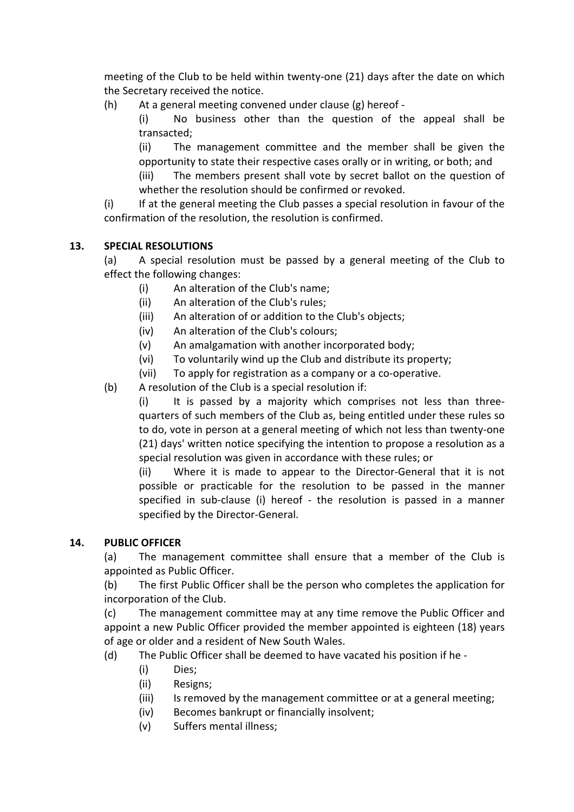meeting of the Club to be held within twenty-one (21) days after the date on which the Secretary received the notice.

(h) At a general meeting convened under clause (g) hereof -

(i) No business other than the question of the appeal shall be transacted;

(ii) The management committee and the member shall be given the opportunity to state their respective cases orally or in writing, or both; and

(iii) The members present shall vote by secret ballot on the question of whether the resolution should be confirmed or revoked.

(i) If at the general meeting the Club passes a special resolution in favour of the confirmation of the resolution, the resolution is confirmed.

## 13. SPECIAL RESOLUTIONS

(a) A special resolution must be passed by a general meeting of the Club to effect the following changes:

- (i) An alteration of the Club's name;
- (ii) An alteration of the Club's rules;
- (iii) An alteration of or addition to the Club's objects;
- (iv) An alteration of the Club's colours;
- (v) An amalgamation with another incorporated body;
- (vi) To voluntarily wind up the Club and distribute its property;
- (vii) To apply for registration as a company or a co-operative.
- (b) A resolution of the Club is a special resolution if:

(i) It is passed by a majority which comprises not less than threequarters of such members of the Club as, being entitled under these rules so to do, vote in person at a general meeting of which not less than twenty-one (21) days' written notice specifying the intention to propose a resolution as a special resolution was given in accordance with these rules; or

(ii) Where it is made to appear to the Director-General that it is not possible or practicable for the resolution to be passed in the manner specified in sub-clause (i) hereof - the resolution is passed in a manner specified by the Director-General.

## 14. PUBLIC OFFICER

(a) The management committee shall ensure that a member of the Club is appointed as Public Officer.

(b) The first Public Officer shall be the person who completes the application for incorporation of the Club.

(c) The management committee may at any time remove the Public Officer and appoint a new Public Officer provided the member appointed is eighteen (18) years of age or older and a resident of New South Wales.

- (d) The Public Officer shall be deemed to have vacated his position if he
	- (i) Dies;
	- (ii) Resigns;
	- (iii) Is removed by the management committee or at a general meeting;
	- (iv) Becomes bankrupt or financially insolvent;
	- (v) Suffers mental illness;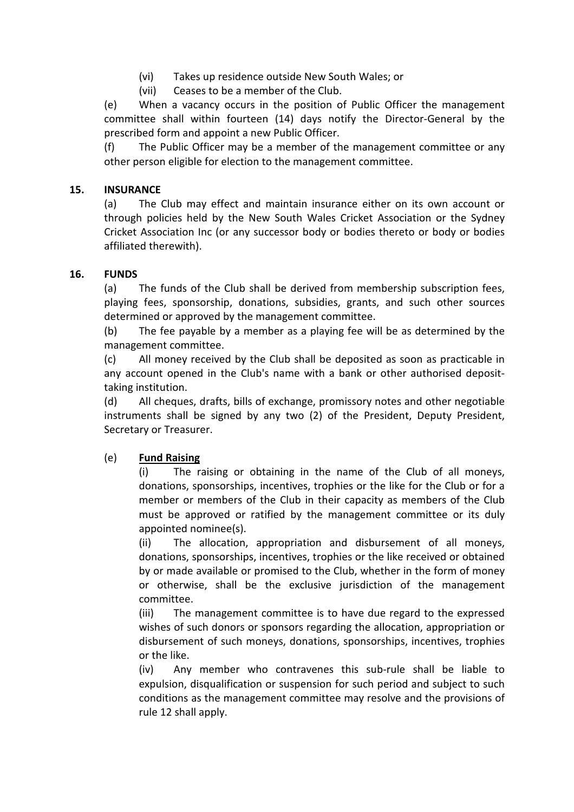- (vi) Takes up residence outside New South Wales; or
- (vii) Ceases to be a member of the Club.

(e) When a vacancy occurs in the position of Public Officer the management committee shall within fourteen (14) days notify the Director-General by the prescribed form and appoint a new Public Officer.

(f) The Public Officer may be a member of the management committee or any other person eligible for election to the management committee.

#### 15. INSURANCE

(a) The Club may effect and maintain insurance either on its own account or through policies held by the New South Wales Cricket Association or the Sydney Cricket Association Inc (or any successor body or bodies thereto or body or bodies affiliated therewith).

#### 16. FUNDS

(a) The funds of the Club shall be derived from membership subscription fees, playing fees, sponsorship, donations, subsidies, grants, and such other sources determined or approved by the management committee.

(b) The fee payable by a member as a playing fee will be as determined by the management committee.

(c) All money received by the Club shall be deposited as soon as practicable in any account opened in the Club's name with a bank or other authorised deposittaking institution.

(d) All cheques, drafts, bills of exchange, promissory notes and other negotiable instruments shall be signed by any two (2) of the President, Deputy President, Secretary or Treasurer.

## (e) Fund Raising

(i) The raising or obtaining in the name of the Club of all moneys, donations, sponsorships, incentives, trophies or the like for the Club or for a member or members of the Club in their capacity as members of the Club must be approved or ratified by the management committee or its duly appointed nominee(s).

(ii) The allocation, appropriation and disbursement of all moneys, donations, sponsorships, incentives, trophies or the like received or obtained by or made available or promised to the Club, whether in the form of money or otherwise, shall be the exclusive jurisdiction of the management committee.

(iii) The management committee is to have due regard to the expressed wishes of such donors or sponsors regarding the allocation, appropriation or disbursement of such moneys, donations, sponsorships, incentives, trophies or the like.

(iv) Any member who contravenes this sub-rule shall be liable to expulsion, disqualification or suspension for such period and subject to such conditions as the management committee may resolve and the provisions of rule 12 shall apply.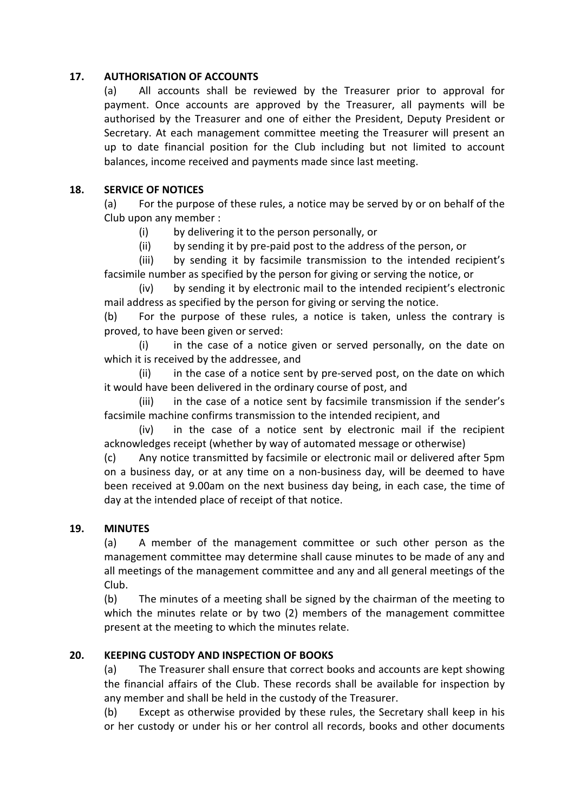#### 17. AUTHORISATION OF ACCOUNTS

(a) All accounts shall be reviewed by the Treasurer prior to approval for payment. Once accounts are approved by the Treasurer, all payments will be authorised by the Treasurer and one of either the President, Deputy President or Secretary. At each management committee meeting the Treasurer will present an up to date financial position for the Club including but not limited to account balances, income received and payments made since last meeting.

#### 18. SERVICE OF NOTICES

(a) For the purpose of these rules, a notice may be served by or on behalf of the Club upon any member :

(i) by delivering it to the person personally, or

(ii) by sending it by pre-paid post to the address of the person, or

 (iii) by sending it by facsimile transmission to the intended recipient's facsimile number as specified by the person for giving or serving the notice, or

 (iv) by sending it by electronic mail to the intended recipient's electronic mail address as specified by the person for giving or serving the notice.

(b) For the purpose of these rules, a notice is taken, unless the contrary is proved, to have been given or served:

 (i) in the case of a notice given or served personally, on the date on which it is received by the addressee, and

 (ii) in the case of a notice sent by pre-served post, on the date on which it would have been delivered in the ordinary course of post, and

 (iii) in the case of a notice sent by facsimile transmission if the sender's facsimile machine confirms transmission to the intended recipient, and

 (iv) in the case of a notice sent by electronic mail if the recipient acknowledges receipt (whether by way of automated message or otherwise)

(c) Any notice transmitted by facsimile or electronic mail or delivered after 5pm on a business day, or at any time on a non-business day, will be deemed to have been received at 9.00am on the next business day being, in each case, the time of day at the intended place of receipt of that notice.

## 19. MINUTES

(a) A member of the management committee or such other person as the management committee may determine shall cause minutes to be made of any and all meetings of the management committee and any and all general meetings of the Club.

(b) The minutes of a meeting shall be signed by the chairman of the meeting to which the minutes relate or by two (2) members of the management committee present at the meeting to which the minutes relate.

## 20. KEEPING CUSTODY AND INSPECTION OF BOOKS

(a) The Treasurer shall ensure that correct books and accounts are kept showing the financial affairs of the Club. These records shall be available for inspection by any member and shall be held in the custody of the Treasurer.

(b) Except as otherwise provided by these rules, the Secretary shall keep in his or her custody or under his or her control all records, books and other documents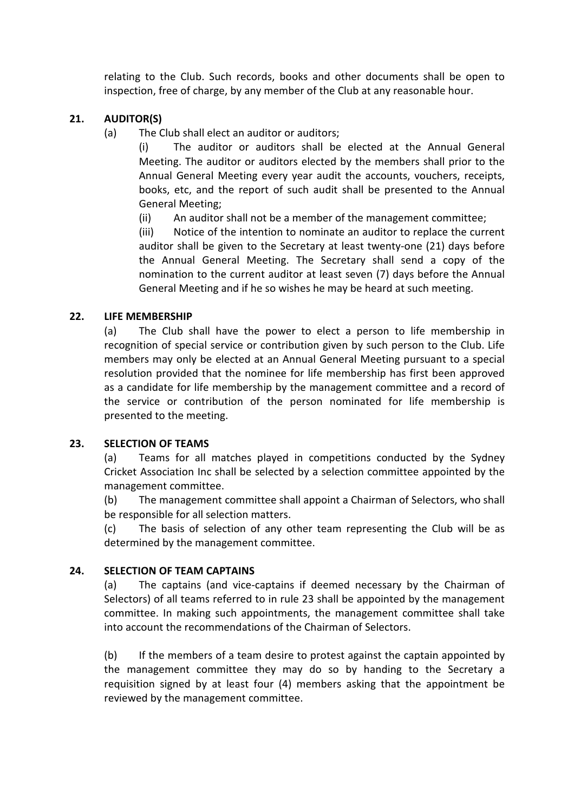relating to the Club. Such records, books and other documents shall be open to inspection, free of charge, by any member of the Club at any reasonable hour.

## 21. AUDITOR(S)

(a) The Club shall elect an auditor or auditors;

(i) The auditor or auditors shall be elected at the Annual General Meeting. The auditor or auditors elected by the members shall prior to the Annual General Meeting every year audit the accounts, vouchers, receipts, books, etc, and the report of such audit shall be presented to the Annual General Meeting;

(ii) An auditor shall not be a member of the management committee;

(iii) Notice of the intention to nominate an auditor to replace the current auditor shall be given to the Secretary at least twenty-one (21) days before the Annual General Meeting. The Secretary shall send a copy of the nomination to the current auditor at least seven (7) days before the Annual General Meeting and if he so wishes he may be heard at such meeting.

## 22. LIFE MEMBERSHIP

(a) The Club shall have the power to elect a person to life membership in recognition of special service or contribution given by such person to the Club. Life members may only be elected at an Annual General Meeting pursuant to a special resolution provided that the nominee for life membership has first been approved as a candidate for life membership by the management committee and a record of the service or contribution of the person nominated for life membership is presented to the meeting.

## 23. SELECTION OF TEAMS

(a) Teams for all matches played in competitions conducted by the Sydney Cricket Association Inc shall be selected by a selection committee appointed by the management committee.

(b) The management committee shall appoint a Chairman of Selectors, who shall be responsible for all selection matters.

(c) The basis of selection of any other team representing the Club will be as determined by the management committee.

## 24. SELECTION OF TEAM CAPTAINS

(a) The captains (and vice-captains if deemed necessary by the Chairman of Selectors) of all teams referred to in rule 23 shall be appointed by the management committee. In making such appointments, the management committee shall take into account the recommendations of the Chairman of Selectors.

(b) If the members of a team desire to protest against the captain appointed by the management committee they may do so by handing to the Secretary a requisition signed by at least four (4) members asking that the appointment be reviewed by the management committee.